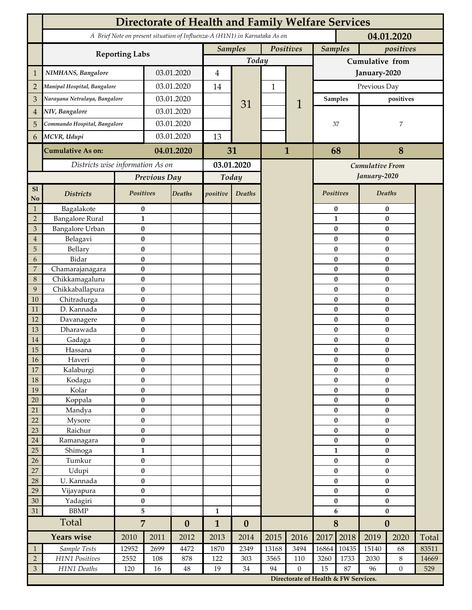|                                 | <b>Directorate of Health and Family Welfare Services</b>                                 |                        |            |                  |                             |                  |              |                                      |                             |                |                        |                      |       |  |
|---------------------------------|------------------------------------------------------------------------------------------|------------------------|------------|------------------|-----------------------------|------------------|--------------|--------------------------------------|-----------------------------|----------------|------------------------|----------------------|-------|--|
|                                 | A Brief Note on present situation of Influenza-A (H1N1) in Karnataka As on<br>04.01.2020 |                        |            |                  |                             |                  |              |                                      |                             |                |                        |                      |       |  |
|                                 | <b>Reporting Labs</b>                                                                    |                        |            |                  | <b>Samples</b><br>Positives |                  |              |                                      | <b>Samples</b><br>positives |                |                        |                      |       |  |
|                                 |                                                                                          |                        | Today      |                  |                             | Cumulative from  |              |                                      |                             |                |                        |                      |       |  |
| 1                               | NIMHANS, Bangalore                                                                       | 03.01.2020             |            | $\overline{4}$   |                             |                  |              | January-2020                         |                             |                |                        |                      |       |  |
| $\overline{2}$                  | Manipal Hospital, Bangalore                                                              |                        | 03.01.2020 |                  | 14                          |                  | $\mathbf{1}$ |                                      | Previous Day                |                |                        |                      |       |  |
| 3                               | Narayana Netralaya, Bangalore                                                            |                        |            | 03.01.2020       |                             |                  |              | 1                                    |                             | <b>Samples</b> | positives              |                      |       |  |
| $\overline{4}$                  |                                                                                          | NIV, Bangalore         |            | 03.01.2020       |                             | 31               |              |                                      |                             |                |                        |                      |       |  |
|                                 | Commando Hospital, Bangalore                                                             |                        | 03.01.2020 |                  |                             |                  |              |                                      | 37                          |                | 7                      |                      |       |  |
| 5                               | MCVR, Udupi                                                                              |                        | 03.01.2020 |                  |                             |                  |              |                                      |                             |                |                        |                      |       |  |
| 6                               |                                                                                          |                        |            |                  | 13                          |                  |              |                                      |                             |                |                        |                      |       |  |
|                                 | <b>Cumulative As on:</b>                                                                 |                        | 04.01.2020 |                  | 31                          |                  | 1            |                                      |                             | 68<br>8        |                        |                      |       |  |
|                                 | Districts wise information As on                                                         |                        |            | 03.01.2020       |                             |                  |              | Cumulative From                      |                             |                |                        |                      |       |  |
|                                 |                                                                                          | Previous Day           |            | Today            |                             |                  |              |                                      |                             |                | January-2020           |                      |       |  |
| S1<br>No                        | <b>Districts</b>                                                                         | Positives              |            | Deaths           | positive                    | Deaths           |              |                                      | Positives                   |                | <b>Deaths</b>          |                      |       |  |
| $\mathbf{1}$                    | Bagalakote                                                                               | $\bf{0}$               |            |                  |                             |                  |              |                                      |                             | 0              | $\bf{0}$               |                      |       |  |
| $\sqrt{2}$                      | <b>Bangalore Rural</b>                                                                   | $\mathbf{1}$           |            |                  |                             |                  |              |                                      |                             | 1              |                        | $\bf{0}$<br>$\bf{0}$ |       |  |
| 3                               | <b>Bangalore Urban</b>                                                                   | $\bf{0}$               |            |                  |                             |                  |              |                                      |                             | $\bf{0}$       |                        |                      |       |  |
| $\boldsymbol{4}$<br>$\mathbf 5$ | Belagavi<br>Bellary                                                                      | $\bf{0}$<br>$\bf{0}$   |            |                  |                             |                  |              |                                      |                             | 0<br>$\bf{0}$  |                        | $\bf{0}$<br>$\bf{0}$ |       |  |
| 6                               | Bidar                                                                                    | $\bf{0}$               |            |                  |                             |                  |              |                                      |                             | $\pmb{0}$      |                        | $\bf{0}$             |       |  |
| $\overline{7}$                  | Chamarajanagara                                                                          | $\pmb{0}$              |            |                  |                             |                  |              |                                      | $\pmb{0}$                   |                | $\bf{0}$               |                      |       |  |
| 8                               | Chikkamagaluru                                                                           | $\bf{0}$               |            |                  |                             |                  |              |                                      |                             | 0              |                        | $\bf{0}$             |       |  |
| 9                               | Chikkaballapura                                                                          | $\bf{0}$               |            |                  |                             |                  |              |                                      |                             | $\bf{0}$       |                        | $\bf{0}$             |       |  |
| 10                              | Chitradurga                                                                              | $\bf{0}$               |            |                  |                             |                  |              |                                      |                             | $\bf{0}$       |                        | $\bf{0}$             |       |  |
| 11                              | D. Kannada                                                                               | $\bf{0}$               |            |                  |                             |                  |              |                                      |                             | $\bf{0}$       |                        | $\bf{0}$             |       |  |
| 12                              | Davanagere                                                                               | $\pmb{0}$              |            |                  |                             |                  |              |                                      |                             | $\pmb{0}$      |                        | $\pmb{0}$            |       |  |
| 13<br>14                        | Dharawada<br>Gadaga                                                                      | $\pmb{0}$<br>$\bf{0}$  |            |                  |                             |                  |              |                                      | $\bf{0}$<br>$\bf{0}$        |                | $\pmb{0}$<br>$\pmb{0}$ |                      |       |  |
| 15                              | Hassana                                                                                  | $\bf{0}$               |            |                  |                             |                  |              |                                      |                             | $\pmb{0}$      |                        | 0                    |       |  |
| $16\,$                          | Haveri                                                                                   | $\pmb{0}$              |            |                  |                             |                  |              |                                      |                             | $\pmb{0}$      | $\boldsymbol{0}$       |                      |       |  |
| $17\,$                          | Kalaburgi                                                                                | $\bf{0}$               |            |                  |                             |                  |              |                                      |                             | $\bf{0}$       | $\bf{0}$               |                      |       |  |
| 18                              | Kodagu                                                                                   | $\pmb{0}$              |            |                  |                             |                  |              |                                      |                             | $\pmb{0}$      | $\pmb{0}$              |                      |       |  |
| 19                              | Kolar                                                                                    | $\pmb{0}$              |            |                  |                             |                  |              |                                      | $\pmb{0}$                   |                | $\pmb{0}$              |                      |       |  |
| 20                              | Koppala                                                                                  | $\pmb{0}$<br>$\bf{0}$  |            |                  |                             |                  |              |                                      | $\pmb{0}$<br>$\bf{0}$       |                | $\pmb{0}$<br>$\pmb{0}$ |                      |       |  |
| 21<br>22                        | Mandya<br>Mysore                                                                         |                        |            |                  |                             |                  |              |                                      | $\pmb{0}$                   |                | $\pmb{0}$              |                      |       |  |
| 23                              | Raichur                                                                                  | $\bf{0}$<br>$\pmb{0}$  |            |                  |                             |                  |              |                                      |                             | $\pmb{0}$      | $\pmb{0}$              |                      |       |  |
| 24                              | Ramanagara                                                                               | $\pmb{0}$              |            |                  |                             |                  |              |                                      | $\pmb{0}$                   |                | $\pmb{0}$              |                      |       |  |
| 25                              | Shimoga                                                                                  | $\mathbf{1}$           |            |                  |                             |                  |              |                                      | $\mathbf{1}$                |                | $\bf{0}$               |                      |       |  |
| 26                              | Tumkur                                                                                   | $\bf{0}$               |            |                  |                             |                  |              |                                      | $\pmb{0}$                   |                | $\pmb{0}$              |                      |       |  |
| 27                              | Udupi                                                                                    | $\bf{0}$               |            |                  |                             |                  |              |                                      | $\pmb{0}$                   |                | $\pmb{0}$              |                      |       |  |
| 28                              | U. Kannada                                                                               | $\bf{0}$               |            |                  |                             |                  |              |                                      |                             | $\pmb{0}$      | $\pmb{0}$              |                      |       |  |
| 29<br>30                        | Vijayapura                                                                               | $\pmb{0}$<br>$\pmb{0}$ |            |                  |                             |                  |              |                                      | $\pmb{0}$<br>$\pmb{0}$      |                | $\pmb{0}$              |                      |       |  |
| 31                              | Yadagiri<br><b>BBMP</b>                                                                  | 5                      |            |                  | $\mathbf{1}$                |                  |              |                                      | $\bf 6$                     |                | $\pmb{0}$<br>$\pmb{0}$ |                      |       |  |
|                                 | Total                                                                                    | $\overline{7}$         |            | $\boldsymbol{0}$ | $\mathbf{1}$                | $\boldsymbol{0}$ |              |                                      | ${\bf 8}$                   |                | $\boldsymbol{0}$       |                      |       |  |
|                                 | <b>Years wise</b>                                                                        | 2010                   | 2011       | 2012             | 2013                        | 2014             | 2015         | 2016                                 | 2017                        | 2018           | 2019                   | 2020                 | Total |  |
| $\mathbf{1}$                    | Sample Tests                                                                             | 12952                  | 2699       | 4472             | 1870                        | 2349             | 13168        | 3494                                 | 16864                       | 10435          | 15140                  | 68                   | 83511 |  |
| $\sqrt{2}$                      | H1N1 Positives                                                                           | 2552                   | 108        | 878              | 122                         | 303              | 3565         | 110                                  | 3260                        | 1733           | 2030                   | $\,8\,$              | 14669 |  |
| $\ensuremath{\mathfrak{Z}}$     | H1N1 Deaths                                                                              | 120                    | $16\,$     | $\rm 48$         | 19                          | 34               | 94           | $\boldsymbol{0}$                     | 15                          | 87             | 96                     | $\mathbf{0}$         | 529   |  |
|                                 |                                                                                          |                        |            |                  |                             |                  |              | Directorate of Health & FW Services. |                             |                |                        |                      |       |  |